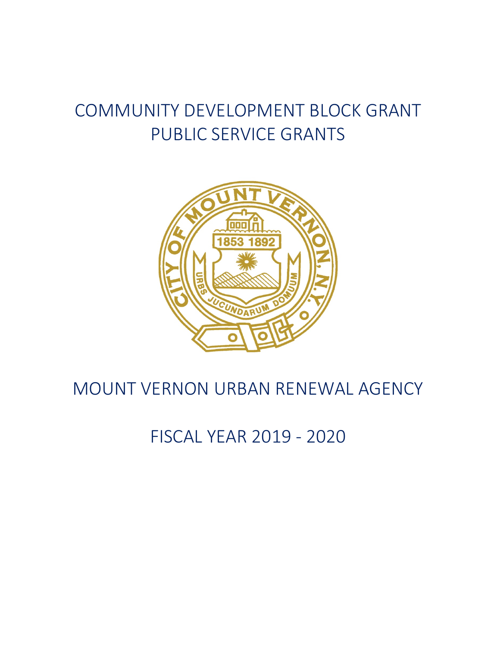# COMMUNITY DEVELOPMENT BLOCK GRANT PUBLIC SERVICE GRANTS



# MOUNT VERNON URBAN RENEWAL AGENCY

FISCAL YEAR 2019 - 2020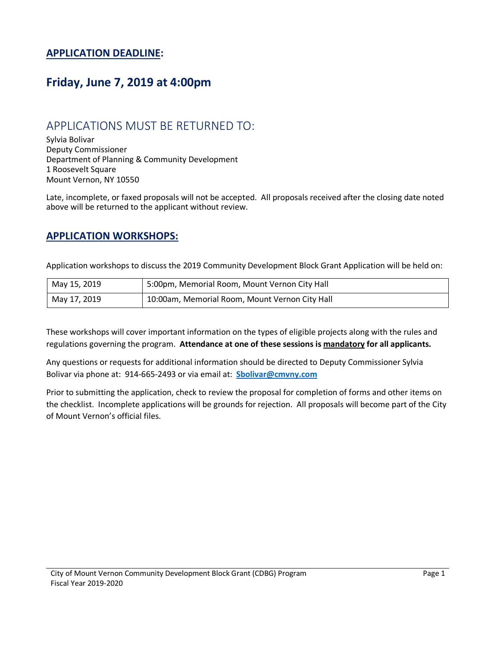#### **APPLICATION DEADLINE:**

#### **Friday, June 7, 2019 at 4:00pm**

#### APPLICATIONS MUST BE RETURNED TO:

Sylvia Bolivar Deputy Commissioner Department of Planning & Community Development 1 Roosevelt Square Mount Vernon, NY 10550

Late, incomplete, or faxed proposals will not be accepted. All proposals received after the closing date noted above will be returned to the applicant without review.

#### **APPLICATION WORKSHOPS:**

Application workshops to discuss the 2019 Community Development Block Grant Application will be held on:

| May 15, 2019 | 5:00pm, Memorial Room, Mount Vernon City Hall  |
|--------------|------------------------------------------------|
| May 17, 2019 | 10:00am, Memorial Room, Mount Vernon City Hall |

These workshops will cover important information on the types of eligible projects along with the rules and regulations governing the program. **Attendance at one of these sessions is mandatory for all applicants.** 

Any questions or requests for additional information should be directed to Deputy Commissioner Sylvia Bolivar via phone at: 914-665-2493 or via email at: **Sbolivar@cmvny.com**

Prior to submitting the application, check to review the proposal for completion of forms and other items on the checklist. Incomplete applications will be grounds for rejection. All proposals will become part of the City of Mount Vernon's official files.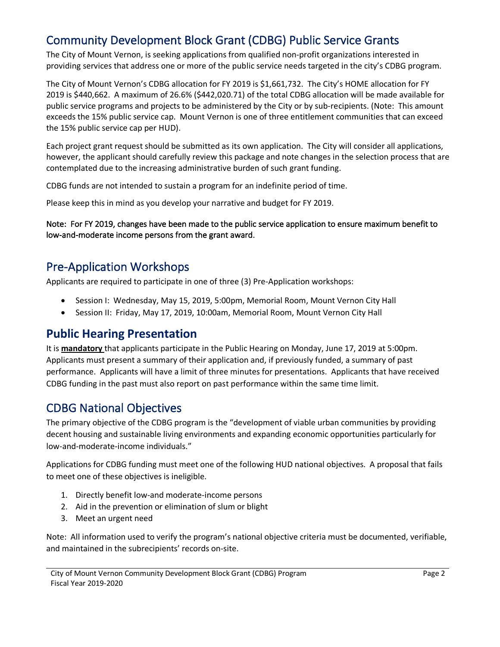#### Community Development Block Grant (CDBG) Public Service Grants

The City of Mount Vernon, is seeking applications from qualified non-profit organizations interested in providing services that address one or more of the public service needs targeted in the city's CDBG program.

The City of Mount Vernon's CDBG allocation for FY 2019 is \$1,661,732. The City's HOME allocation for FY 2019 is \$440,662. A maximum of 26.6% (\$442,020.71) of the total CDBG allocation will be made available for public service programs and projects to be administered by the City or by sub-recipients. (Note: This amount exceeds the 15% public service cap. Mount Vernon is one of three entitlement communities that can exceed the 15% public service cap per HUD).

Each project grant request should be submitted as its own application. The City will consider all applications, however, the applicant should carefully review this package and note changes in the selection process that are contemplated due to the increasing administrative burden of such grant funding.

CDBG funds are not intended to sustain a program for an indefinite period of time.

Please keep this in mind as you develop your narrative and budget for FY 2019.

Note: For FY 2019, changes have been made to the public service application to ensure maximum benefit to low-and-moderate income persons from the grant award.

#### Pre-Application Workshops

Applicants are required to participate in one of three (3) Pre-Application workshops:

- Session I: Wednesday, May 15, 2019, 5:00pm, Memorial Room, Mount Vernon City Hall
- Session II: Friday, May 17, 2019, 10:00am, Memorial Room, Mount Vernon City Hall

#### **Public Hearing Presentation**

It is **mandatory** that applicants participate in the Public Hearing on Monday, June 17, 2019 at 5:00pm. Applicants must present a summary of their application and, if previously funded, a summary of past performance. Applicants will have a limit of three minutes for presentations. Applicants that have received CDBG funding in the past must also report on past performance within the same time limit.

#### CDBG National Objectives

The primary objective of the CDBG program is the "development of viable urban communities by providing decent housing and sustainable living environments and expanding economic opportunities particularly for low-and-moderate-income individuals."

Applications for CDBG funding must meet one of the following HUD national objectives. A proposal that fails to meet one of these objectives is ineligible.

- 1. Directly benefit low-and moderate-income persons
- 2. Aid in the prevention or elimination of slum or blight
- 3. Meet an urgent need

Note: All information used to verify the program's national objective criteria must be documented, verifiable, and maintained in the subrecipients' records on-site.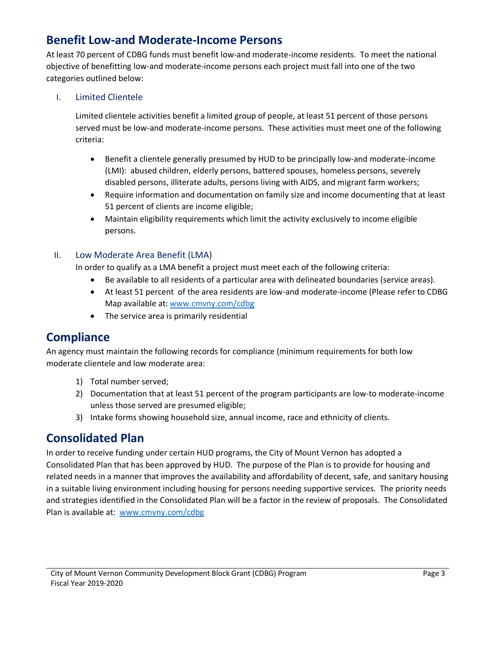#### **Benefit Low-and Moderate-Income Persons**

At least 70 percent of CDBG funds must benefit low-and moderate-income residents. To meet the national objective of benefitting low-and moderate-income persons each project must fall into one of the two categories outlined below:

#### I. Limited Clientele

Limited clientele activities benefit a limited group of people, at least 51 percent of those persons served must be low-and moderate-income persons. These activities must meet one of the following criteria:

- Benefit a clientele generally presumed by HUD to be principally low-and moderate-income (LMI): abused children, elderly persons, battered spouses, homeless persons, severely disabled persons, illiterate adults, persons living with AIDS, and migrant farm workers;
- Require information and documentation on family size and income documenting that at least 51 percent of clients are income eligible;
- Maintain eligibility requirements which limit the activity exclusively to income eligible persons.

#### II. Low Moderate Area Benefit (LMA)

In order to qualify as a LMA benefit a project must meet each of the following criteria:

- Be available to all residents of a particular area with delineated boundaries (service areas).
- At least 51 percent of the area residents are low-and moderate-income (Please refer to CDBG Map available at: www.cmvny.com/cdbg
- The service area is primarily residential

#### **Compliance**

An agency must maintain the following records for compliance (minimum requirements for both low moderate clientele and low moderate area:

- 1) Total number served;
- 2) Documentation that at least 51 percent of the program participants are low-to moderate-income unless those served are presumed eligible;
- 3) Intake forms showing household size, annual income, race and ethnicity of clients.

#### **Consolidated Plan**

In order to receive funding under certain HUD programs, the City of Mount Vernon has adopted a Consolidated Plan that has been approved by HUD. The purpose of the Plan is to provide for housing and related needs in a manner that improves the availability and affordability of decent, safe, and sanitary housing in a suitable living environment including housing for persons needing supportive services. The priority needs and strategies identified in the Consolidated Plan will be a factor in the review of proposals. The Consolidated Plan is available at: www.cmvny.com/cdbg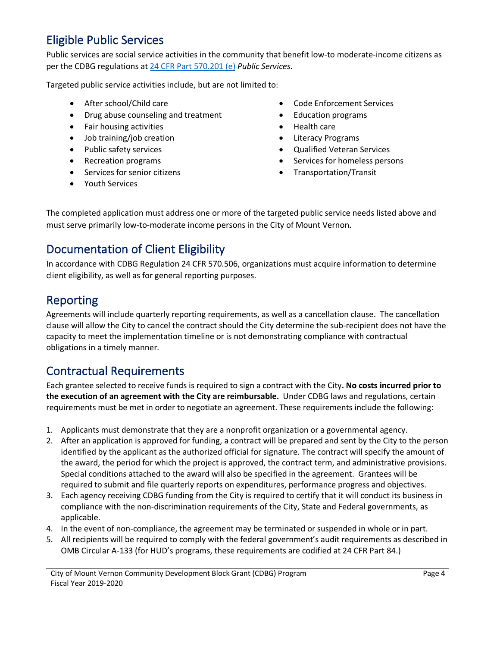#### Eligible Public Services

Public services are social service activities in the community that benefit low-to moderate-income citizens as per the CDBG regulations at 24 CFR Part 570.201 (e) *Public Services*.

Targeted public service activities include, but are not limited to:

- 
- Drug abuse counseling and treatment Education programs
- Fair housing activities Health care
- **Iob training/job creation Literacy Programs**
- 
- 
- Services for senior citizens Transportation/Transit
- Youth Services
- After school/Child care  **Code Enforcement Services** Code Enforcement Services
	-
	-
	-
	- Public safety services Qualified Veteran Services
- Recreation programs **•** Services for homeless persons
	-

The completed application must address one or more of the targeted public service needs listed above and must serve primarily low-to-moderate income persons in the City of Mount Vernon.

#### Documentation of Client Eligibility

In accordance with CDBG Regulation 24 CFR 570.506, organizations must acquire information to determine client eligibility, as well as for general reporting purposes.

#### Reporting

Agreements will include quarterly reporting requirements, as well as a cancellation clause. The cancellation clause will allow the City to cancel the contract should the City determine the sub-recipient does not have the capacity to meet the implementation timeline or is not demonstrating compliance with contractual obligations in a timely manner.

#### Contractual Requirements

Each grantee selected to receive funds is required to sign a contract with the City**. No costs incurred prior to the execution of an agreement with the City are reimbursable.** Under CDBG laws and regulations, certain requirements must be met in order to negotiate an agreement. These requirements include the following:

- 1. Applicants must demonstrate that they are a nonprofit organization or a governmental agency.
- 2. After an application is approved for funding, a contract will be prepared and sent by the City to the person identified by the applicant as the authorized official for signature. The contract will specify the amount of the award, the period for which the project is approved, the contract term, and administrative provisions. Special conditions attached to the award will also be specified in the agreement. Grantees will be required to submit and file quarterly reports on expenditures, performance progress and objectives.
- 3. Each agency receiving CDBG funding from the City is required to certify that it will conduct its business in compliance with the non-discrimination requirements of the City, State and Federal governments, as applicable.
- 4. In the event of non-compliance, the agreement may be terminated or suspended in whole or in part.
- 5. All recipients will be required to comply with the federal government's audit requirements as described in OMB Circular A-133 (for HUD's programs, these requirements are codified at 24 CFR Part 84.)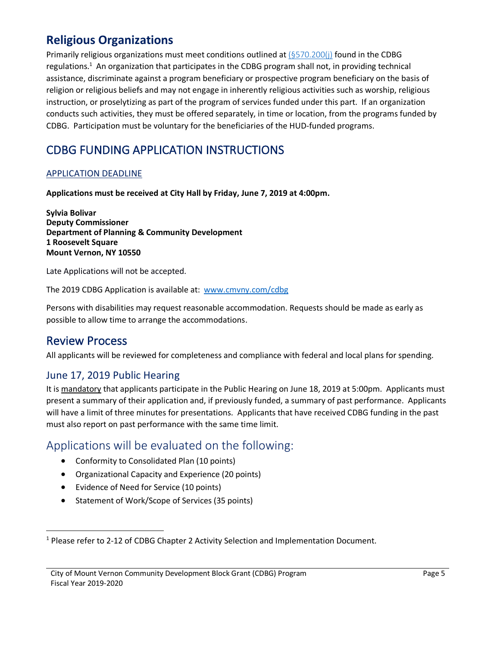#### **Religious Organizations**

Primarily religious organizations must meet conditions outlined at (§570.200(j) found in the CDBG regulations.<sup>1</sup> An organization that participates in the CDBG program shall not, in providing technical assistance, discriminate against a program beneficiary or prospective program beneficiary on the basis of religion or religious beliefs and may not engage in inherently religious activities such as worship, religious instruction, or proselytizing as part of the program of services funded under this part. If an organization conducts such activities, they must be offered separately, in time or location, from the programs funded by CDBG. Participation must be voluntary for the beneficiaries of the HUD-funded programs.

#### CDBG FUNDING APPLICATION INSTRUCTIONS

#### APPLICATION DEADLINE

**Applications must be received at City Hall by Friday, June 7, 2019 at 4:00pm.**

**Sylvia Bolivar Deputy Commissioner Department of Planning & Community Development 1 Roosevelt Square Mount Vernon, NY 10550**

Late Applications will not be accepted.

The 2019 CDBG Application is available at: www.cmvny.com/cdbg

Persons with disabilities may request reasonable accommodation. Requests should be made as early as possible to allow time to arrange the accommodations.

#### Review Process

All applicants will be reviewed for completeness and compliance with federal and local plans for spending.

#### June 17, 2019 Public Hearing

It is mandatory that applicants participate in the Public Hearing on June 18, 2019 at 5:00pm. Applicants must present a summary of their application and, if previously funded, a summary of past performance. Applicants will have a limit of three minutes for presentations. Applicants that have received CDBG funding in the past must also report on past performance with the same time limit.

#### Applications will be evaluated on the following:

- Conformity to Consolidated Plan (10 points)
- Organizational Capacity and Experience (20 points)
- Evidence of Need for Service (10 points)
- Statement of Work/Scope of Services (35 points)

 $1$  Please refer to 2-12 of CDBG Chapter 2 Activity Selection and Implementation Document.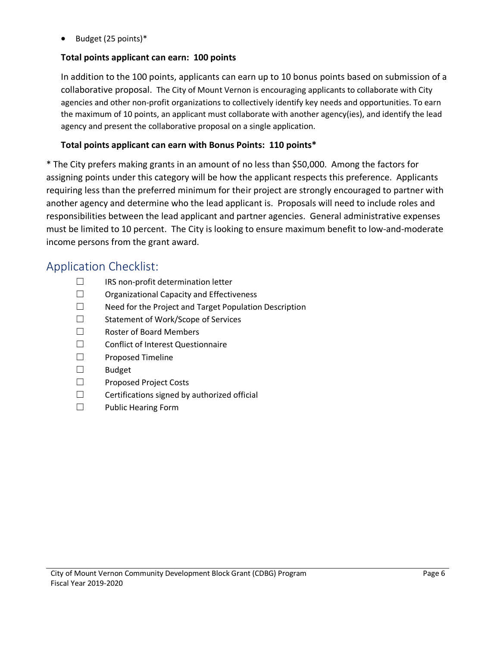• Budget (25 points)\*

#### **Total points applicant can earn: 100 points**

In addition to the 100 points, applicants can earn up to 10 bonus points based on submission of a collaborative proposal.The City of Mount Vernon is encouraging applicants to collaborate with City agencies and other non-profit organizations to collectively identify key needs and opportunities. To earn the maximum of 10 points, an applicant must collaborate with another agency(ies), and identify the lead agency and present the collaborative proposal on a single application.

#### **Total points applicant can earn with Bonus Points: 110 points\***

\* The City prefers making grants in an amount of no less than \$50,000. Among the factors for assigning points under this category will be how the applicant respects this preference. Applicants requiring less than the preferred minimum for their project are strongly encouraged to partner with another agency and determine who the lead applicant is. Proposals will need to include roles and responsibilities between the lead applicant and partner agencies. General administrative expenses must be limited to 10 percent. The City is looking to ensure maximum benefit to low-and-moderate income persons from the grant award.

#### Application Checklist:

- $\Box$ IRS non-profit determination letter
- $\Box$ Organizational Capacity and Effectiveness
- $\Box$ Need for the Project and Target Population Description
- $\Box$ Statement of Work/Scope of Services
- $\Box$ Roster of Board Members
- $\Box$ Conflict of Interest Questionnaire
- $\Box$ Proposed Timeline
- $\Box$ Budget
- $\Box$ Proposed Project Costs
- $\Box$ Certifications signed by authorized official
- $\Box$ Public Hearing Form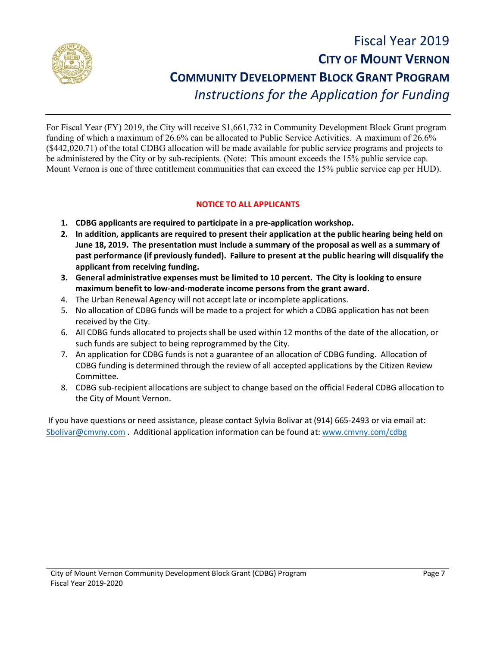

## Fiscal Year 2019 **CITY OF MOUNT VERNON COMMUNITY DEVELOPMENT BLOCK GRANT PROGRAM** *Instructions for the Application for Funding*

For Fiscal Year (FY) 2019, the City will receive \$1,661,732 in Community Development Block Grant program funding of which a maximum of 26.6% can be allocated to Public Service Activities. A maximum of 26.6% (\$442,020.71) of the total CDBG allocation will be made available for public service programs and projects to be administered by the City or by sub-recipients. (Note: This amount exceeds the 15% public service cap. Mount Vernon is one of three entitlement communities that can exceed the 15% public service cap per HUD).

#### **NOTICE TO ALL APPLICANTS**

- **1. CDBG applicants are required to participate in a pre-application workshop.**
- **2. In addition, applicants are required to present their application at the public hearing being held on June 18, 2019. The presentation must include a summary of the proposal as well as a summary of past performance (if previously funded). Failure to present at the public hearing will disqualify the applicant from receiving funding.**
- **3. General administrative expenses must be limited to 10 percent. The City is looking to ensure maximum benefit to low-and-moderate income persons from the grant award.**
- 4. The Urban Renewal Agency will not accept late or incomplete applications.
- 5. No allocation of CDBG funds will be made to a project for which a CDBG application has not been received by the City.
- 6. All CDBG funds allocated to projects shall be used within 12 months of the date of the allocation, or such funds are subject to being reprogrammed by the City.
- 7. An application for CDBG funds is not a guarantee of an allocation of CDBG funding. Allocation of CDBG funding is determined through the review of all accepted applications by the Citizen Review Committee.
- 8. CDBG sub-recipient allocations are subject to change based on the official Federal CDBG allocation to the City of Mount Vernon.

If you have questions or need assistance, please contact Sylvia Bolivar at (914) 665-2493 or via email at: Sbolivar@cmvny.com . Additional application information can be found at: www.cmvny.com/cdbg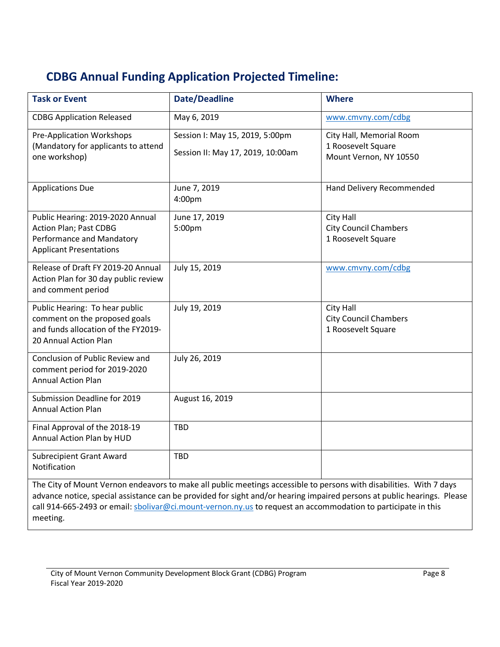## **CDBG Annual Funding Application Projected Timeline:**

| <b>Task or Event</b>                                                                                                                                                                                                                                                                                                                                                        | <b>Date/Deadline</b>                                                 | <b>Where</b>                                                             |  |  |
|-----------------------------------------------------------------------------------------------------------------------------------------------------------------------------------------------------------------------------------------------------------------------------------------------------------------------------------------------------------------------------|----------------------------------------------------------------------|--------------------------------------------------------------------------|--|--|
| <b>CDBG Application Released</b>                                                                                                                                                                                                                                                                                                                                            | May 6, 2019                                                          | www.cmvny.com/cdbg                                                       |  |  |
| <b>Pre-Application Workshops</b><br>(Mandatory for applicants to attend<br>one workshop)                                                                                                                                                                                                                                                                                    | Session I: May 15, 2019, 5:00pm<br>Session II: May 17, 2019, 10:00am | City Hall, Memorial Room<br>1 Roosevelt Square<br>Mount Vernon, NY 10550 |  |  |
| <b>Applications Due</b>                                                                                                                                                                                                                                                                                                                                                     | June 7, 2019<br>4:00pm                                               | Hand Delivery Recommended                                                |  |  |
| Public Hearing: 2019-2020 Annual<br>Action Plan; Past CDBG<br>Performance and Mandatory<br><b>Applicant Presentations</b>                                                                                                                                                                                                                                                   | June 17, 2019<br>5:00pm                                              | City Hall<br><b>City Council Chambers</b><br>1 Roosevelt Square          |  |  |
| Release of Draft FY 2019-20 Annual<br>Action Plan for 30 day public review<br>and comment period                                                                                                                                                                                                                                                                            | July 15, 2019                                                        | www.cmvny.com/cdbg                                                       |  |  |
| Public Hearing: To hear public<br>comment on the proposed goals<br>and funds allocation of the FY2019-<br>20 Annual Action Plan                                                                                                                                                                                                                                             | July 19, 2019                                                        | <b>City Hall</b><br><b>City Council Chambers</b><br>1 Roosevelt Square   |  |  |
| Conclusion of Public Review and<br>comment period for 2019-2020<br><b>Annual Action Plan</b>                                                                                                                                                                                                                                                                                | July 26, 2019                                                        |                                                                          |  |  |
| Submission Deadline for 2019<br><b>Annual Action Plan</b>                                                                                                                                                                                                                                                                                                                   | August 16, 2019                                                      |                                                                          |  |  |
| Final Approval of the 2018-19<br>Annual Action Plan by HUD                                                                                                                                                                                                                                                                                                                  | <b>TBD</b>                                                           |                                                                          |  |  |
| <b>Subrecipient Grant Award</b><br>Notification                                                                                                                                                                                                                                                                                                                             | <b>TBD</b>                                                           |                                                                          |  |  |
| The City of Mount Vernon endeavors to make all public meetings accessible to persons with disabilities. With 7 days<br>advance notice, special assistance can be provided for sight and/or hearing impaired persons at public hearings. Please<br>call 914-665-2493 or email: sbolivar@ci.mount-vernon.ny.us to request an accommodation to participate in this<br>meeting. |                                                                      |                                                                          |  |  |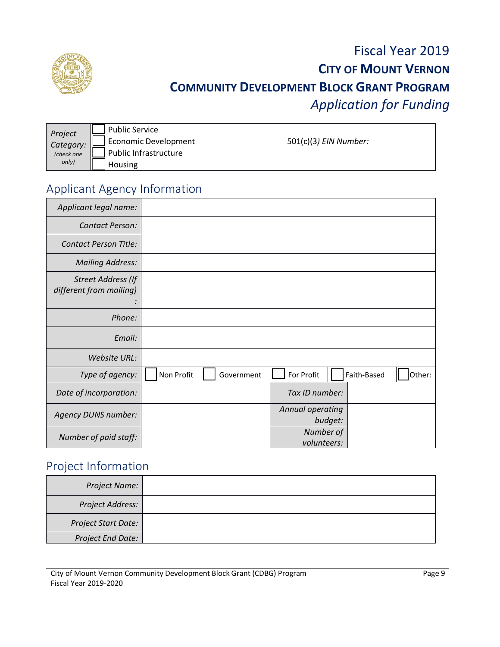

## Fiscal Year 2019 **CITY OF MOUNT VERNON COMMUNITY DEVELOPMENT BLOCK GRANT PROGRAM** *Application for Funding*

| Project    | <b>Public Service</b>       |                       |
|------------|-----------------------------|-----------------------|
| Category:  | <b>Economic Development</b> | 501(c)(3) EIN Number: |
| (check one | Public Infrastructure       |                       |
| only)      | Housing                     |                       |

### Applicant Agency Information

| Applicant legal name:                                |                          |                                     |
|------------------------------------------------------|--------------------------|-------------------------------------|
| Contact Person:                                      |                          |                                     |
| <b>Contact Person Title:</b>                         |                          |                                     |
| <b>Mailing Address:</b>                              |                          |                                     |
| <b>Street Address (If</b><br>different from mailing) |                          |                                     |
| Phone:                                               |                          |                                     |
| Email:                                               |                          |                                     |
| <b>Website URL:</b>                                  |                          |                                     |
| Type of agency:                                      | Non Profit<br>Government | For Profit<br>Other:<br>Faith-Based |
| Date of incorporation:                               |                          | Tax ID number:                      |
| <b>Agency DUNS number:</b>                           |                          | Annual operating<br>budget:         |
| Number of paid staff:                                |                          | Number of<br>volunteers:            |

### Project Information

| Project Name:              |  |
|----------------------------|--|
| Project Address:           |  |
| <b>Project Start Date:</b> |  |
| <b>Project End Date:</b>   |  |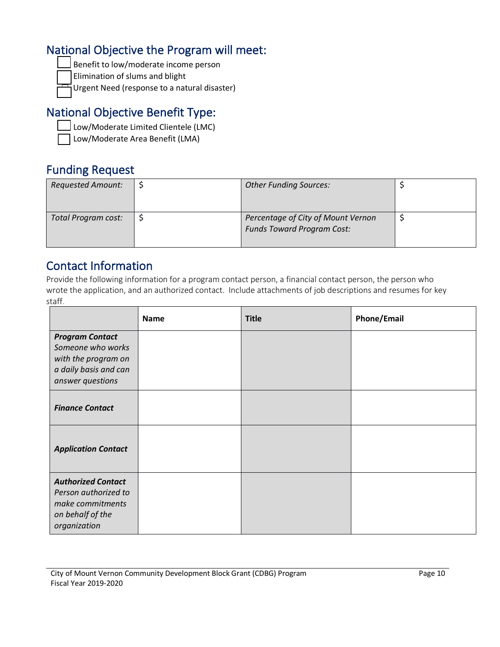#### National Objective the Program will meet:

-Benefit to low/moderate income person

Elimination of slums and blight

-Urgent Need (response to a natural disaster)

### National Objective Benefit Type:

- Low/Moderate Limited Clientele (LMC)

Low/Moderate Area Benefit (LMA)

#### Funding Request

| <b>Requested Amount:</b> | <b>Other Funding Sources:</b>                                           |  |
|--------------------------|-------------------------------------------------------------------------|--|
| Total Program cost:      | Percentage of City of Mount Vernon<br><b>Funds Toward Program Cost:</b> |  |

**Contact Information**<br>Provide the following information for a program contact person, a financial contact person, the person who wrote the application, and an authorized contact. Include attachments of job descriptions and resumes for key staff.

|                                                                                                                 | <b>Name</b> | <b>Title</b> | <b>Phone/Email</b> |
|-----------------------------------------------------------------------------------------------------------------|-------------|--------------|--------------------|
| <b>Program Contact</b><br>Someone who works<br>with the program on<br>a daily basis and can<br>answer questions |             |              |                    |
| <b>Finance Contact</b>                                                                                          |             |              |                    |
| <b>Application Contact</b>                                                                                      |             |              |                    |
| <b>Authorized Contact</b><br>Person authorized to<br>make commitments<br>on behalf of the<br>organization       |             |              |                    |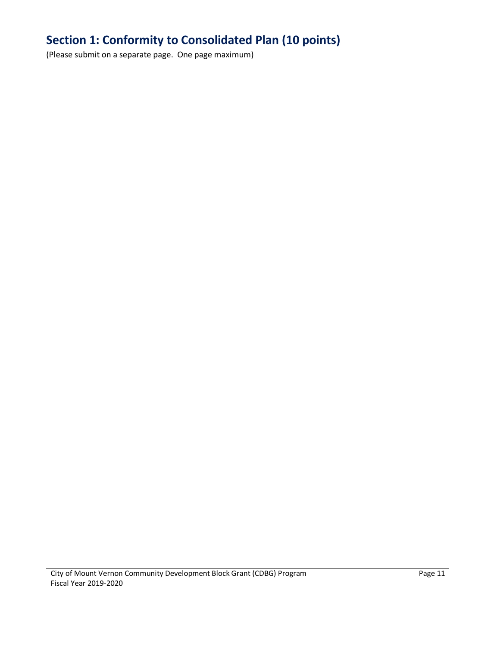### **Section 1: Conformity to Consolidated Plan (10 points)**

(Please submit on a separate page. One page maximum)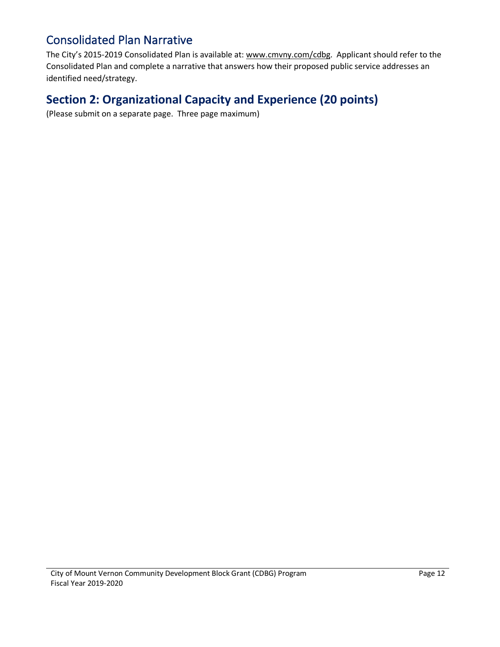#### Consolidated Plan Narrative

The City's 2015-2019 Consolidated Plan is available at: www.cmvny.com/cdbg. Applicant should refer to the Consolidated Plan and complete a narrative that answers how their proposed public service addresses an identified need/strategy.

#### **Section 2: Organizational Capacity and Experience (20 points)**

(Please submit on a separate page. Three page maximum)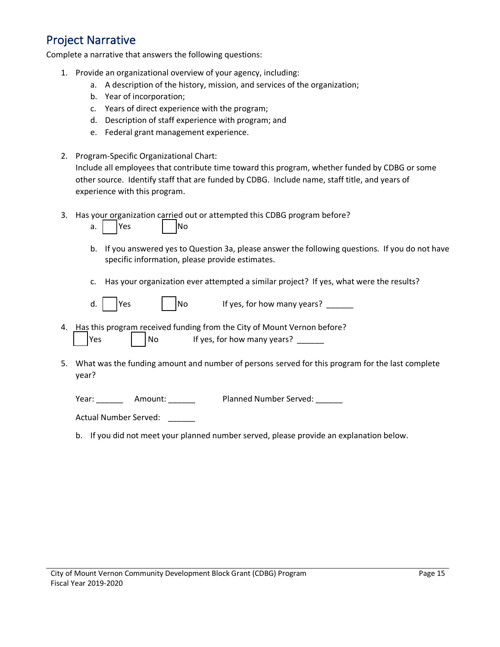#### Project Narrative

Complete a narrative that answers the following questions:

- 1. Provide an organizational overview of your agency, including:
	- a. A description of the history, mission, and services of the organization;
	- b. Year of incorporation;
	- c. Years of direct experience with the program;
	- d. Description of staff experience with program; and
	- e. Federal grant management experience.
- 2. Program-Specific Organizational Chart: Include all employees that contribute time toward this program, whether funded by CDBG or some other source. Identify staff that are funded by CDBG. Include name, staff title, and years of experience with this program.
- 3. Has your organization carried out or attempted this CDBG program before?

|  |  | ۷ρς |  |  | lNo |
|--|--|-----|--|--|-----|
|--|--|-----|--|--|-----|

- b. If you answered yes to Question 3a, please answer the following questions. If you do not have specific information, please provide estimates.
- c. Has your organization ever attempted a similar project? If yes, what were the results?

| d. |  | lYes |  |  | No |
|----|--|------|--|--|----|
|----|--|------|--|--|----|

If yes, for how many years?  $\qquad \qquad$ 

- 4. Has this program received funding from the City of Mount Vernon before?  $Yes$ No If yes, for how many years?
- 5. What was the funding amount and number of persons served for this program for the last complete year?

Year: \_\_\_\_\_\_\_\_\_ Amount: \_\_\_\_\_\_\_\_ Planned Number Served: \_\_\_\_\_\_

Actual Number Served:

b. If you did not meet your planned number served, please provide an explanation below.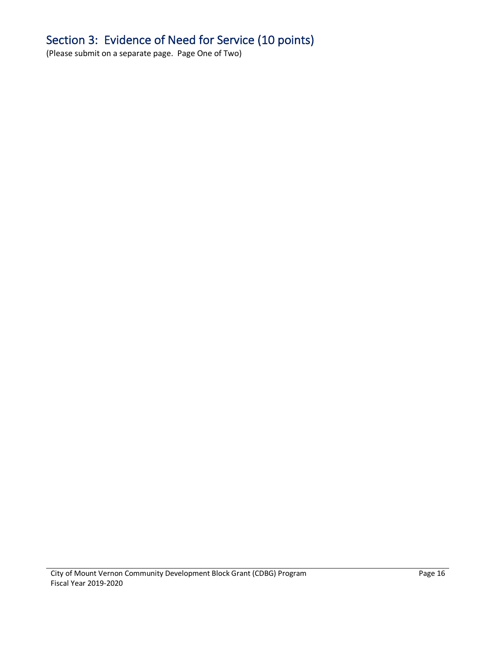## Section 3: Evidence of Need for Service (10 points)

(Please submit on a separate page. Page One of Two)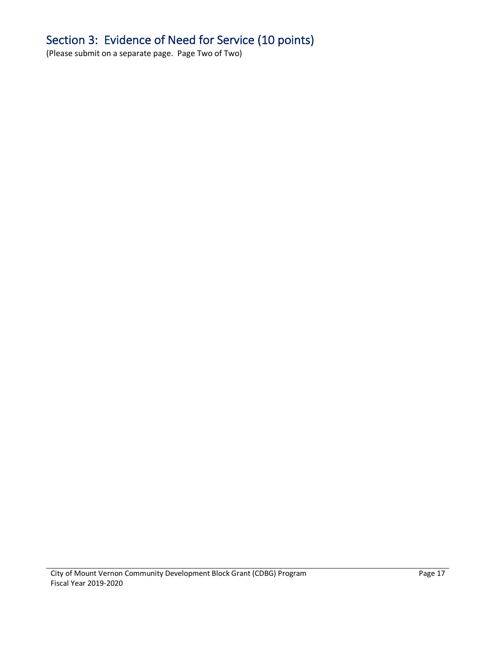## Section 3: Evidence of Need for Service (10 points)

(Please submit on a separate page. Page Two of Two)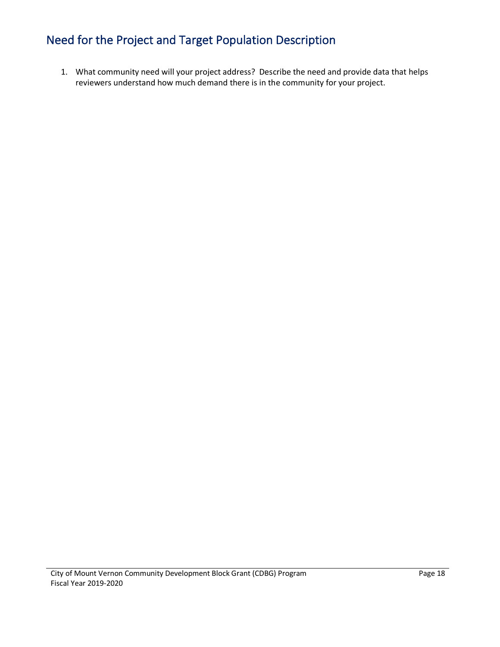### Need for the Project and Target Population Description

1. What community need will your project address? Describe the need and provide data that helps reviewers understand how much demand there is in the community for your project.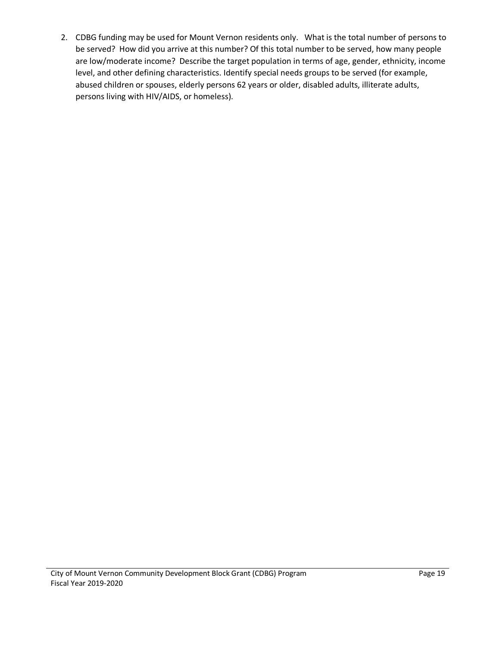2. CDBG funding may be used for Mount Vernon residents only. What is the total number of persons to be served? How did you arrive at this number? Of this total number to be served, how many people are low/moderate income? Describe the target population in terms of age, gender, ethnicity, income level, and other defining characteristics. Identify special needs groups to be served (for example, abused children or spouses, elderly persons 62 years or older, disabled adults, illiterate adults, persons living with HIV/AIDS, or homeless).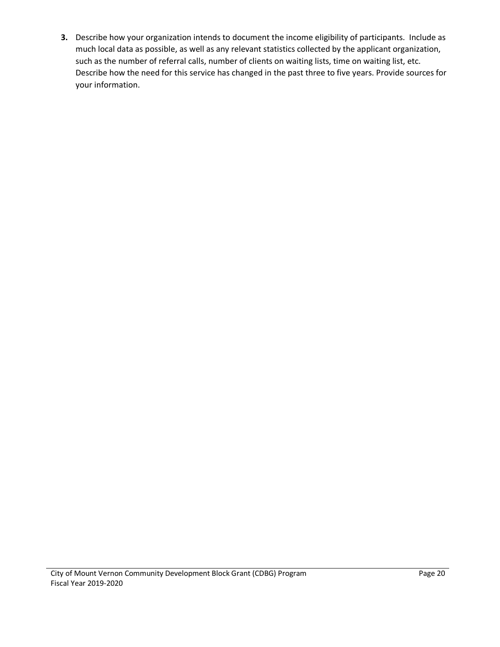**3.** Describe how your organization intends to document the income eligibility of participants. Include as much local data as possible, as well as any relevant statistics collected by the applicant organization, such as the number of referral calls, number of clients on waiting lists, time on waiting list, etc. Describe how the need for this service has changed in the past three to five years. Provide sources for your information.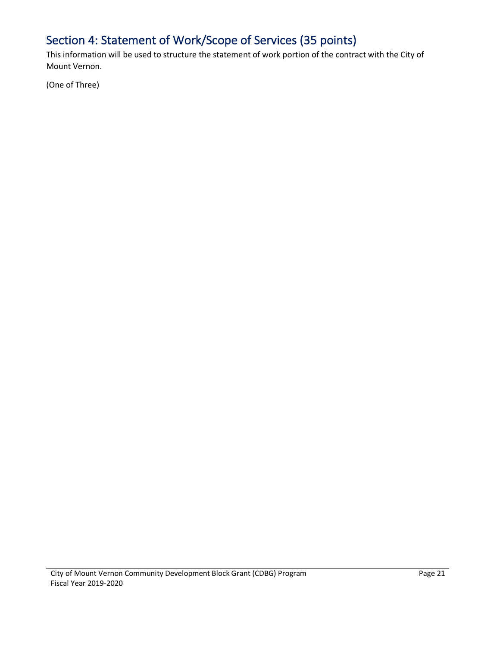## Section 4: Statement of Work/Scope of Services (35 points)

This information will be used to structure the statement of work portion of the contract with the City of Mount Vernon.

(One of Three)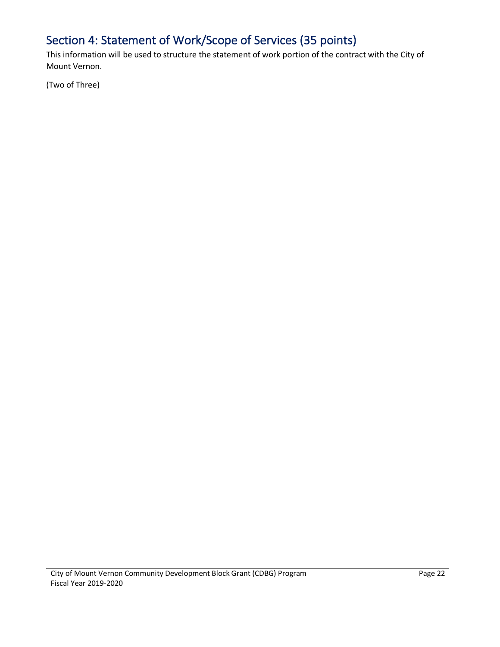## Section 4: Statement of Work/Scope of Services (35 points)

This information will be used to structure the statement of work portion of the contract with the City of Mount Vernon.

(Two of Three)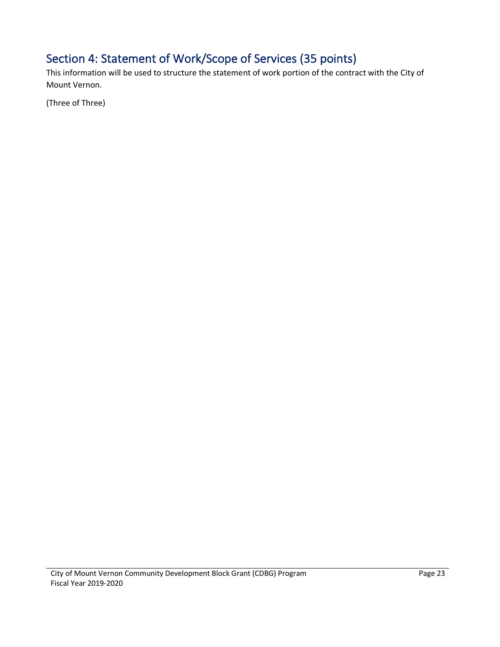## Section 4: Statement of Work/Scope of Services (35 points)

This information will be used to structure the statement of work portion of the contract with the City of Mount Vernon.

(Three of Three)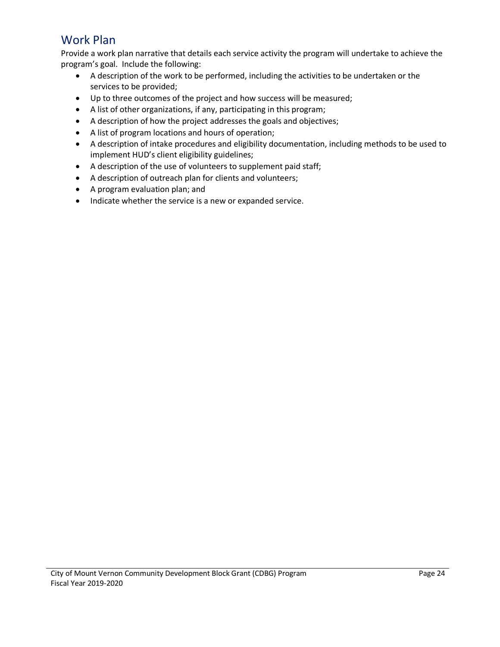#### Work Plan

Provide a work plan narrative that details each service activity the program will undertake to achieve the program's goal. Include the following:

- A description of the work to be performed, including the activities to be undertaken or the services to be provided;
- Up to three outcomes of the project and how success will be measured;
- A list of other organizations, if any, participating in this program;
- A description of how the project addresses the goals and objectives;
- A list of program locations and hours of operation;
- A description of intake procedures and eligibility documentation, including methods to be used to implement HUD's client eligibility guidelines;
- A description of the use of volunteers to supplement paid staff;
- A description of outreach plan for clients and volunteers;
- A program evaluation plan; and
- Indicate whether the service is a new or expanded service.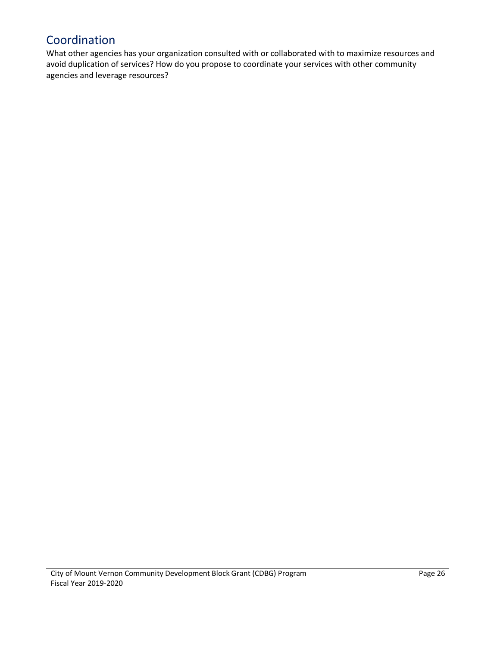#### Coordination

What other agencies has your organization consulted with or collaborated with to maximize resources and avoid duplication of services? How do you propose to coordinate your services with other community agencies and leverage resources?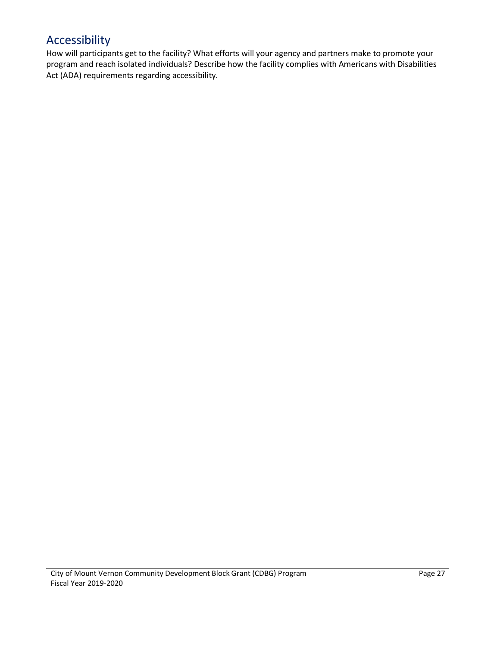#### Accessibility

How will participants get to the facility? What efforts will your agency and partners make to promote your program and reach isolated individuals? Describe how the facility complies with Americans with Disabilities Act (ADA) requirements regarding accessibility.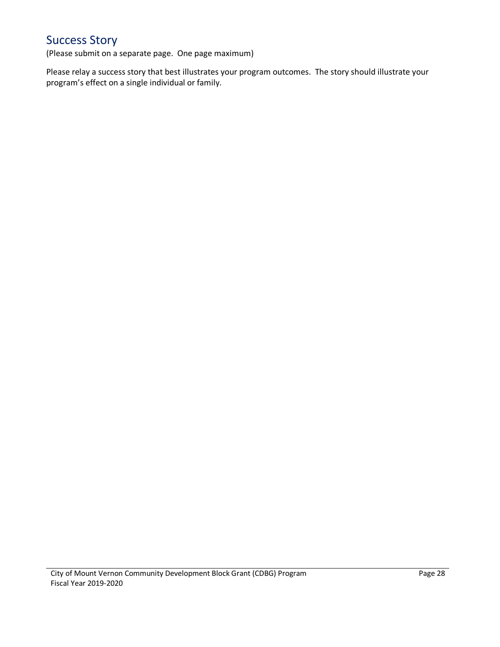### Success Story

(Please submit on a separate page. One page maximum)

Please relay a success story that best illustrates your program outcomes. The story should illustrate your program's effect on a single individual or family.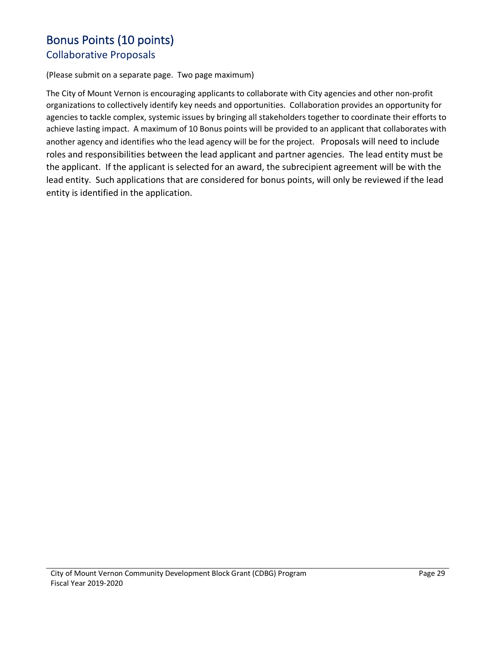#### Bonus Points (10 points)

#### Collaborative Proposals

(Please submit on a separate page. Two page maximum)

The City of Mount Vernon is encouraging applicants to collaborate with City agencies and other non-profit organizations to collectively identify key needs and opportunities. Collaboration provides an opportunity for agencies to tackle complex, systemic issues by bringing all stakeholders together to coordinate their efforts to achieve lasting impact. A maximum of 10 Bonus points will be provided to an applicant that collaborates with another agency and identifies who the lead agency will be for the project. Proposals will need to include roles and responsibilities between the lead applicant and partner agencies. The lead entity must be the applicant. If the applicant is selected for an award, the subrecipient agreement will be with the lead entity. Such applications that are considered for bonus points, will only be reviewed if the lead entity is identified in the application.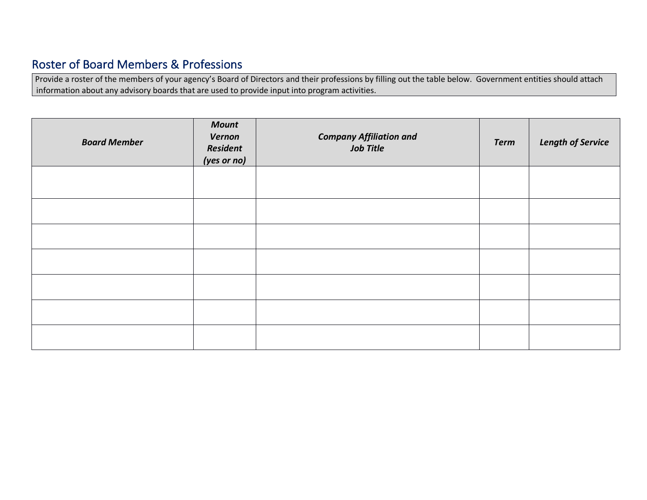## Roster of Board Members & Professions

Provide a roster of the members of your agency's Board of Directors and their professions by filling out the table below. Government entities should attach information about any advisory boards that are used to provide input into program activities.

| <b>Board Member</b> | <b>Mount</b><br>Vernon<br>Resident<br>(yes or no) | <b>Company Affiliation and</b><br><b>Job Title</b> | <b>Term</b> | <b>Length of Service</b> |
|---------------------|---------------------------------------------------|----------------------------------------------------|-------------|--------------------------|
|                     |                                                   |                                                    |             |                          |
|                     |                                                   |                                                    |             |                          |
|                     |                                                   |                                                    |             |                          |
|                     |                                                   |                                                    |             |                          |
|                     |                                                   |                                                    |             |                          |
|                     |                                                   |                                                    |             |                          |
|                     |                                                   |                                                    |             |                          |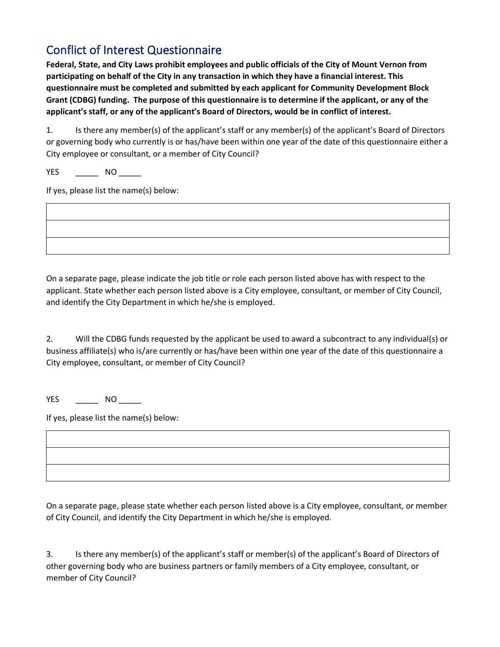#### Conflict of Interest Questionnaire

**Federal, State, and City Laws prohibit employees and public officials of the City of Mount Vernon from participating on behalf of the City in any transaction in which they have a financial interest. This questionnaire must be completed and submitted by each applicant for Community Development Block Grant (CDBG) funding. The purpose of this questionnaire is to determine if the applicant, or any of the applicant's staff, or any of the applicant's Board of Directors, would be in conflict of interest.**

1. Is there any member(s) of the applicant's staff or any member(s) of the applicant's Board of Directors or governing body who currently is or has/have been within one year of the date of this questionnaire either a City employee or consultant, or a member of City Council?

YES \_\_\_\_\_\_\_\_\_\_ NO \_\_\_\_\_\_

If yes, please list the name(s) below:

On a separate page, please indicate the job title or role each person listed above has with respect to the applicant. State whether each person listed above is a City employee, consultant, or member of City Council, and identify the City Department in which he/she is employed.

2. Will the CDBG funds requested by the applicant be used to award a subcontract to any individual(s) or business affiliate(s) who is/are currently or has/have been within one year of the date of this questionnaire a City employee, consultant, or member of City Council?

YES \_\_\_\_\_\_\_\_ NO \_\_\_\_\_\_

If yes, please list the name(s) below:

On a separate page, please state whether each person listed above is a City employee, consultant, or member of City Council, and identify the City Department in which he/she is employed.

3. Is there any member(s) of the applicant's staff or member(s) of the applicant's Board of Directors of other governing body who are business partners or family members of a City employee, consultant, or member of City Council?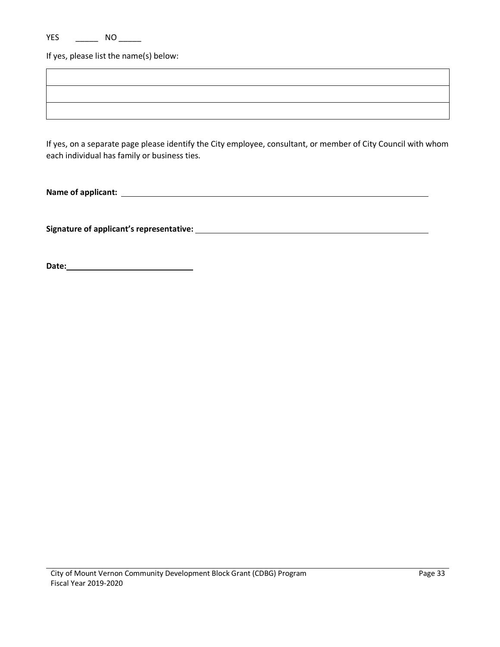If yes, please list the name(s) below:

If yes, on a separate page please identify the City employee, consultant, or member of City Council with whom each individual has family or business ties.

**Name of applicant:** 

**Signature of applicant's representative:** 

**Date:**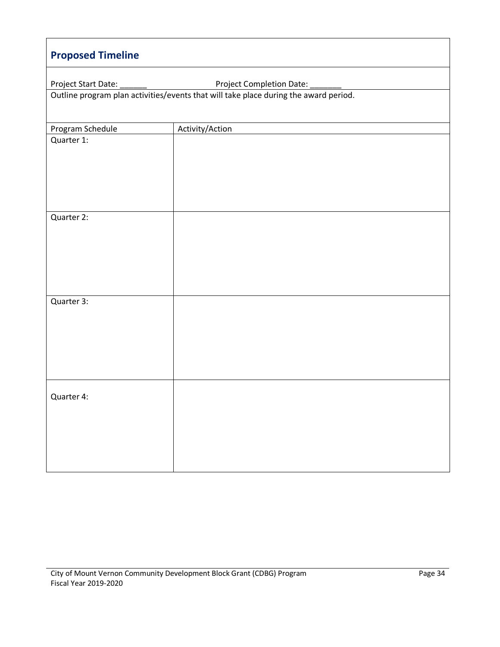| <b>Proposed Timeline</b>                        |                                                                                      |  |  |  |  |
|-------------------------------------------------|--------------------------------------------------------------------------------------|--|--|--|--|
| Project Start Date:<br>Project Completion Date: |                                                                                      |  |  |  |  |
|                                                 | Outline program plan activities/events that will take place during the award period. |  |  |  |  |
|                                                 |                                                                                      |  |  |  |  |
| Program Schedule                                | Activity/Action                                                                      |  |  |  |  |
| Quarter 1:                                      |                                                                                      |  |  |  |  |
|                                                 |                                                                                      |  |  |  |  |
|                                                 |                                                                                      |  |  |  |  |
|                                                 |                                                                                      |  |  |  |  |
|                                                 |                                                                                      |  |  |  |  |
| Quarter 2:                                      |                                                                                      |  |  |  |  |
|                                                 |                                                                                      |  |  |  |  |
|                                                 |                                                                                      |  |  |  |  |
|                                                 |                                                                                      |  |  |  |  |
|                                                 |                                                                                      |  |  |  |  |
| Quarter 3:                                      |                                                                                      |  |  |  |  |
|                                                 |                                                                                      |  |  |  |  |
|                                                 |                                                                                      |  |  |  |  |
|                                                 |                                                                                      |  |  |  |  |
|                                                 |                                                                                      |  |  |  |  |
|                                                 |                                                                                      |  |  |  |  |
| Quarter 4:                                      |                                                                                      |  |  |  |  |
|                                                 |                                                                                      |  |  |  |  |
|                                                 |                                                                                      |  |  |  |  |
|                                                 |                                                                                      |  |  |  |  |
|                                                 |                                                                                      |  |  |  |  |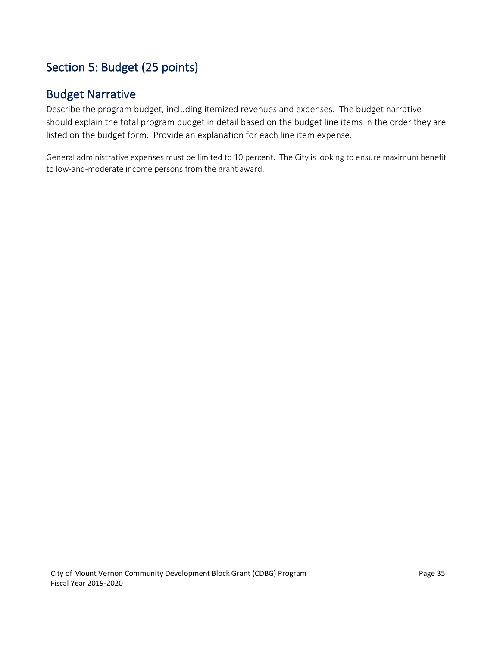## Section 5: Budget (25 points)

#### Budget Narrative

Describe the program budget, including itemized revenues and expenses. The budget narrative should explain the total program budget in detail based on the budget line items in the order they are listed on the budget form. Provide an explanation for each line item expense.

General administrative expenses must be limited to 10 percent. The City is looking to ensure maximum benefit to low-and-moderate income persons from the grant award.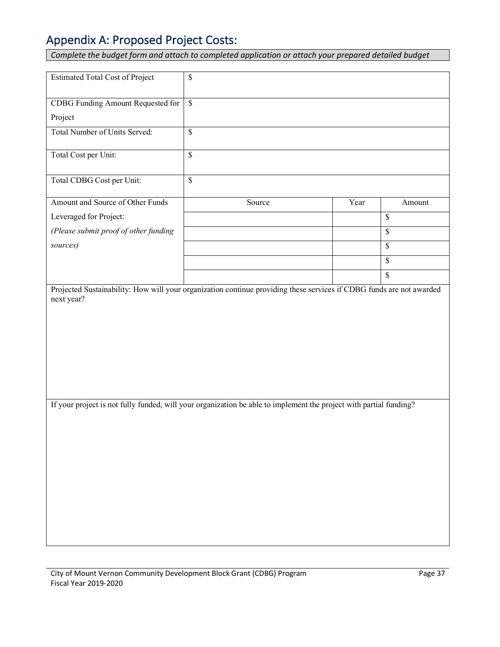### Appendix A: Proposed Project Costs:

*Complete the budget form and attach to completed application or attach your prepared detailed budget* 

| <b>Estimated Total Cost of Project</b>                                                                             | $\mathbb{S}$             |      |        |
|--------------------------------------------------------------------------------------------------------------------|--------------------------|------|--------|
| CDBG Funding Amount Requested for                                                                                  | $\mathbb S$              |      |        |
| Project                                                                                                            |                          |      |        |
| Total Number of Units Served:                                                                                      | $\overline{\mathcal{S}}$ |      |        |
| Total Cost per Unit:                                                                                               | $\mathsf{\$}$            |      |        |
| Total CDBG Cost per Unit:                                                                                          | $\overline{\mathcal{S}}$ |      |        |
| Amount and Source of Other Funds                                                                                   | Source                   | Year | Amount |
| Leveraged for Project:                                                                                             |                          |      | $\$$   |
| (Please submit proof of other funding                                                                              |                          |      | \$     |
| sources)                                                                                                           |                          |      | \$     |
|                                                                                                                    |                          |      | \$     |
|                                                                                                                    |                          |      | \$     |
| If your project is not fully funded, will your organization be able to implement the project with partial funding? |                          |      |        |
|                                                                                                                    |                          |      |        |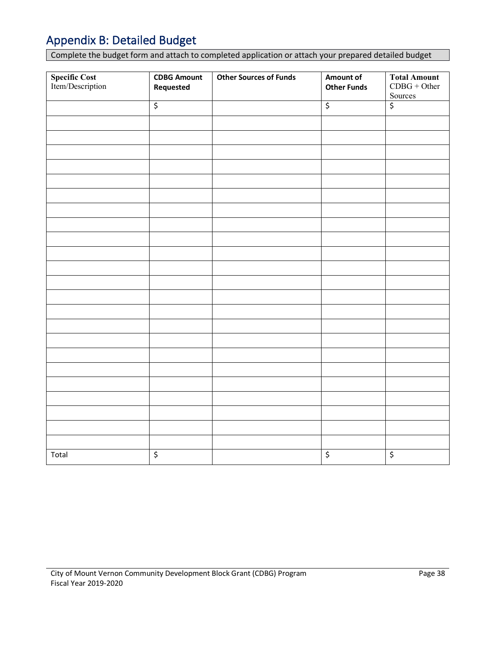### Appendix B: Detailed Budget

Complete the budget form and attach to completed application or attach your prepared detailed budget

| Specific Cost<br>Item/Description | <b>CDBG Amount</b><br>Requested | <b>Other Sources of Funds</b> | Amount of<br><b>Other Funds</b> | <b>Total Amount</b><br>$CDBG + Other$<br>Sources |
|-----------------------------------|---------------------------------|-------------------------------|---------------------------------|--------------------------------------------------|
|                                   | $\overline{\xi}$                |                               | $\overline{\boldsymbol{\zeta}}$ | \$                                               |
|                                   |                                 |                               |                                 |                                                  |
|                                   |                                 |                               |                                 |                                                  |
|                                   |                                 |                               |                                 |                                                  |
|                                   |                                 |                               |                                 |                                                  |
|                                   |                                 |                               |                                 |                                                  |
|                                   |                                 |                               |                                 |                                                  |
|                                   |                                 |                               |                                 |                                                  |
|                                   |                                 |                               |                                 |                                                  |
|                                   |                                 |                               |                                 |                                                  |
|                                   |                                 |                               |                                 |                                                  |
|                                   |                                 |                               |                                 |                                                  |
|                                   |                                 |                               |                                 |                                                  |
|                                   |                                 |                               |                                 |                                                  |
|                                   |                                 |                               |                                 |                                                  |
|                                   |                                 |                               |                                 |                                                  |
|                                   |                                 |                               |                                 |                                                  |
|                                   |                                 |                               |                                 |                                                  |
|                                   |                                 |                               |                                 |                                                  |
|                                   |                                 |                               |                                 |                                                  |
|                                   |                                 |                               |                                 |                                                  |
|                                   |                                 |                               |                                 |                                                  |
|                                   |                                 |                               |                                 |                                                  |
|                                   |                                 |                               |                                 |                                                  |
| Total                             | $\overline{\mathcal{S}}$        |                               | $\overline{\mathcal{L}}$        | \$                                               |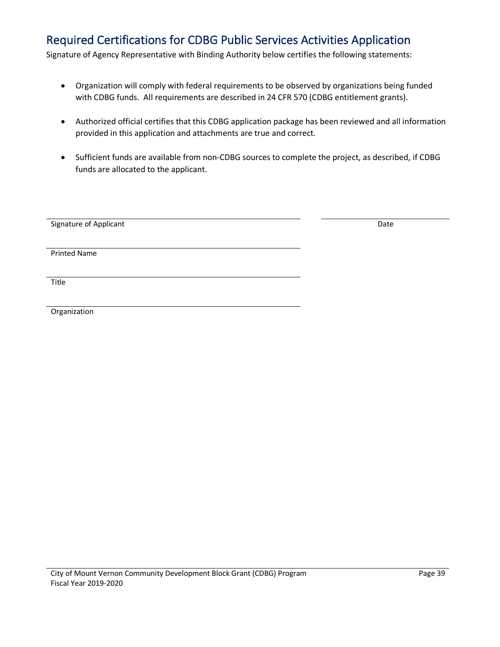#### Required Certifications for CDBG Public Services Activities Application

Signature of Agency Representative with Binding Authority below certifies the following statements:

- Organization will comply with federal requirements to be observed by organizations being funded with CDBG funds. All requirements are described in 24 CFR 570 (CDBG entitlement grants).
- Authorized official certifies that this CDBG application package has been reviewed and all information provided in this application and attachments are true and correct.
- Sufficient funds are available from non-CDBG sources to complete the project, as described, if CDBG funds are allocated to the applicant.

| Signature of Applicant | Date |
|------------------------|------|
|                        |      |
| <b>Printed Name</b>    |      |
|                        |      |
|                        |      |
| Title                  |      |
|                        |      |
| Organization           |      |
|                        |      |
|                        |      |